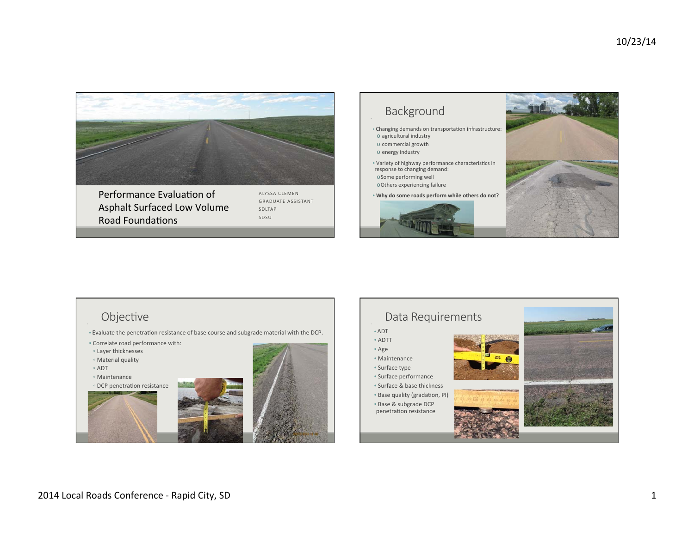

Performance Evaluation of Asphalt Surfaced Low Volume **Road Foundations** 

ALYSSA CLEMEN GRADUATE ASSISTANT SDLTAP SDSU



## Objective

- Evaluate the penetration resistance of base course and subgrade material with the DCP.
- Correlate road performance with:
- Layer thicknesses
- Material quality
- ADT
- Maintenance





## Data Requirements • ADT • ADTT • Age • Maintenance • Surface type • Surface performance • Surface & base thickness • Base quality (gradation, PI) • Base & subgrade DCP penetration resistance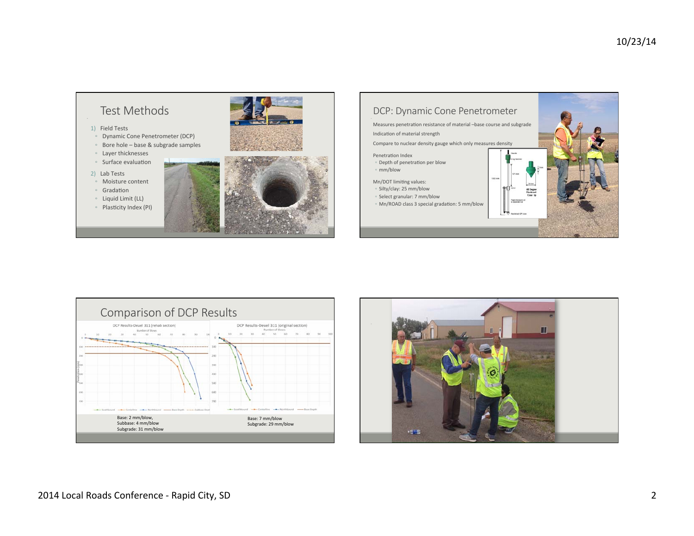





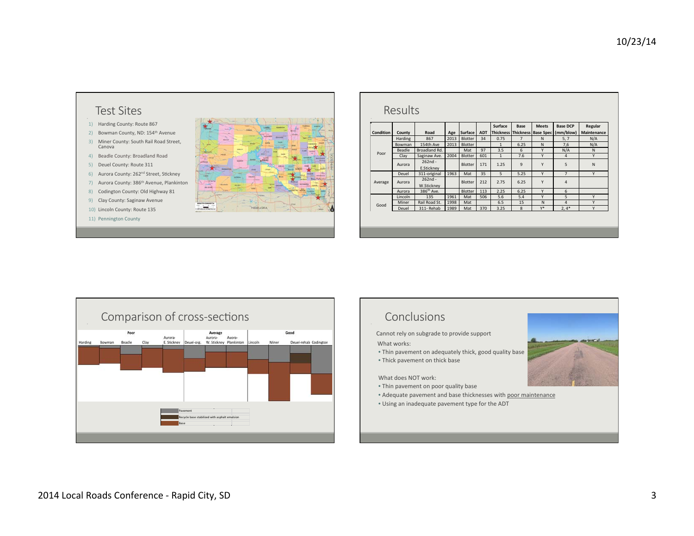

| <b>Condition</b> | County         | Road                    | Age  | Surface | <b>ADT</b> | Surface      | Base           | <b>Meets</b><br>Thickness Thickness   Base Spec | <b>Base DCP</b><br>(mm/blow) | Regular<br><b>Maintenance</b> |
|------------------|----------------|-------------------------|------|---------|------------|--------------|----------------|-------------------------------------------------|------------------------------|-------------------------------|
| Poor             | <b>Harding</b> | 867                     | 2013 | Blotter | 34         | 0.75         | $\overline{7}$ | N                                               | 5, 7                         | N/A                           |
|                  | Bowman         | 154th Ave               | 2013 | Blotter |            | $\mathbf{1}$ | 6.25           | N                                               | 7,6                          | N/A                           |
|                  | Beadle         | Broadland Rd.           |      | Mat     | 97         | 3.5          | 6              | Y                                               | N/A                          | N                             |
|                  | Clay           | Saginaw Ave.            | 2004 | Blotter | 601        | $\mathbf{1}$ | 7.6            | Y                                               | 4                            | Y                             |
|                  | Aurora         | $262nd -$<br>E.Stickney |      | Blotter | 171        | 1.25         | 9              | Y                                               | 5                            | N                             |
| Average          | Deuel          | 311-original            | 1963 | Mat     | 35         | 5            | 5.25           | Y                                               | $\overline{7}$               | Y                             |
|                  | Aurora         | $262nd -$<br>W.Stickney |      | Blotter | 212        | 2.75         | 6.25           | Y                                               | 4                            |                               |
|                  | Aurora         | 386 <sup>th</sup> Ave.  |      | Blotter | 113        | 2.25         | 6.25           | Y                                               | 6                            |                               |
| Good             | Lincoln        | 135                     | 1961 | Mat     | 506        | 5.6          | 5.4            | Y                                               | 5                            | Y                             |
|                  | Miner          | Rail Road St.           | 1998 | Mat     |            | 6.5          | 15             | N                                               | 4                            | Y                             |
|                  | Deuel          | 311-Rehab               | 1989 | Mat     | 370        | 3.25         | 8              | $Y^*$                                           | $2,4*$                       | Y                             |



## Conclusions

Cannot rely on subgrade to provide support

What works:

- Thin pavement on adequately thick, good quality base
- Thick pavement on thick base

What does NOT work:

- Thin pavement on poor quality base
- Adequate pavement and base thicknesses with poor maintenance
- Using an inadequate pavement type for the ADT